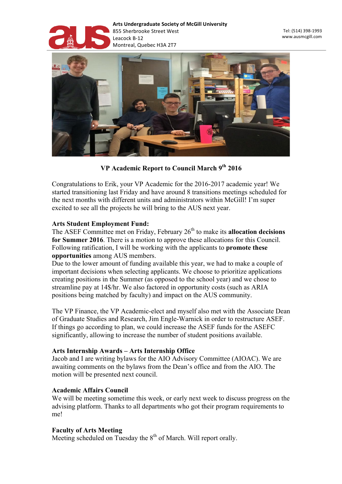



**VP Academic Report to Council March 9th 2016**

Congratulations to Erik, your VP Academic for the 2016-2017 academic year! We started transitioning last Friday and have around 8 transitions meetings scheduled for the next months with different units and administrators within McGill! I'm super excited to see all the projects he will bring to the AUS next year.

#### **Arts Student Employment Fund:**

The ASEF Committee met on Friday, February 26<sup>th</sup> to make its **allocation decisions for Summer 2016**. There is a motion to approve these allocations for this Council. Following ratification, I will be working with the applicants to **promote these opportunities** among AUS members.

Due to the lower amount of funding available this year, we had to make a couple of important decisions when selecting applicants. We choose to prioritize applications creating positions in the Summer (as opposed to the school year) and we chose to streamline pay at 14\$/hr. We also factored in opportunity costs (such as ARIA positions being matched by faculty) and impact on the AUS community.

The VP Finance, the VP Academic-elect and myself also met with the Associate Dean of Graduate Studies and Research, Jim Engle-Warnick in order to restructure ASEF. If things go according to plan, we could increase the ASEF funds for the ASEFC significantly, allowing to increase the number of student positions available.

## **Arts Internship Awards – Arts Internship Office**

Jacob and I are writing bylaws for the AIO Advisory Committee (AIOAC). We are awaiting comments on the bylaws from the Dean's office and from the AIO. The motion will be presented next council.

#### **Academic Affairs Council**

We will be meeting sometime this week, or early next week to discuss progress on the advising platform. Thanks to all departments who got their program requirements to me!

## **Faculty of Arts Meeting**

Meeting scheduled on Tuesday the  $8<sup>th</sup>$  of March. Will report orally.